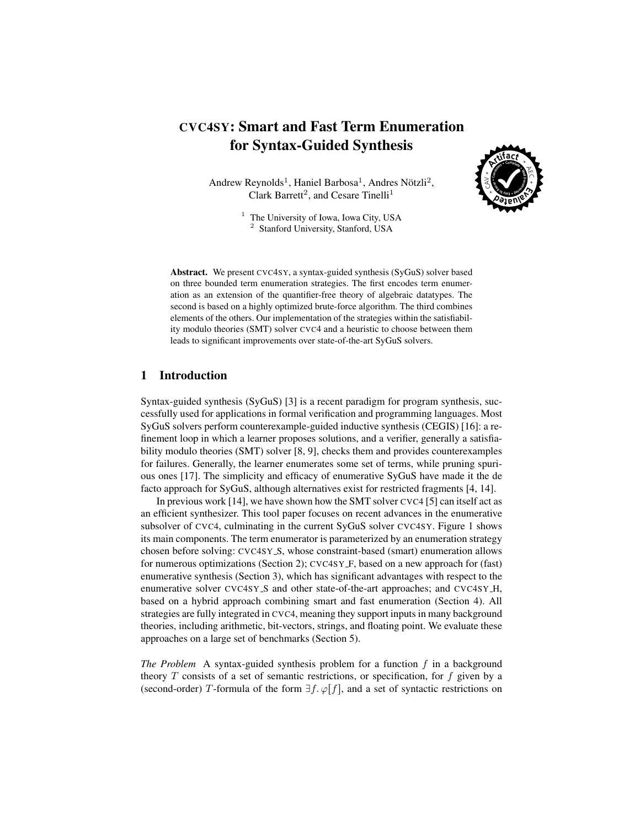# CVC4SY: Smart and Fast Term Enumeration for Syntax-Guided Synthesis

Andrew Reynolds<sup>1</sup>, Haniel Barbosa<sup>1</sup>, Andres Nötzli<sup>2</sup>, Clark Barrett<sup>2</sup>, and Cesare Tinelli<sup>1</sup>



<sup>1</sup> The University of Iowa, Iowa City, USA <sup>2</sup> Stanford University, Stanford, USA

Abstract. We present CVC4SY, a syntax-guided synthesis (SyGuS) solver based on three bounded term enumeration strategies. The first encodes term enumeration as an extension of the quantifier-free theory of algebraic datatypes. The second is based on a highly optimized brute-force algorithm. The third combines elements of the others. Our implementation of the strategies within the satisfiability modulo theories (SMT) solver CVC4 and a heuristic to choose between them leads to significant improvements over state-of-the-art SyGuS solvers.

### 1 Introduction

Syntax-guided synthesis (SyGuS) [\[3\]](#page-8-0) is a recent paradigm for program synthesis, successfully used for applications in formal verification and programming languages. Most SyGuS solvers perform counterexample-guided inductive synthesis (CEGIS) [\[16\]](#page-9-0): a refinement loop in which a learner proposes solutions, and a verifier, generally a satisfiability modulo theories (SMT) solver [\[8,](#page-8-1) [9\]](#page-8-2), checks them and provides counterexamples for failures. Generally, the learner enumerates some set of terms, while pruning spurious ones [\[17\]](#page-9-1). The simplicity and efficacy of enumerative SyGuS have made it the de facto approach for SyGuS, although alternatives exist for restricted fragments [\[4,](#page-8-3) [14\]](#page-8-4).

In previous work [\[14\]](#page-8-4), we have shown how the SMT solver CVC4 [\[5\]](#page-8-5) can itself act as an efficient synthesizer. This tool paper focuses on recent advances in the enumerative subsolver of CVC4, culminating in the current SyGuS solver CVC4SY. Figure [1](#page-1-0) shows its main components. The term enumerator is parameterized by an enumeration strategy chosen before solving: CVC4SY S, whose constraint-based (smart) enumeration allows for numerous optimizations (Section [2\)](#page-2-0); CVC4SY F, based on a new approach for (fast) enumerative synthesis (Section [3\)](#page-4-0), which has significant advantages with respect to the enumerative solver CVC4SY\_S and other state-of-the-art approaches; and CVC4SY\_H, based on a hybrid approach combining smart and fast enumeration (Section [4\)](#page-5-0). All strategies are fully integrated in CVC4, meaning they support inputs in many background theories, including arithmetic, bit-vectors, strings, and floating point. We evaluate these approaches on a large set of benchmarks (Section [5\)](#page-5-1).

*The Problem* A syntax-guided synthesis problem for a function f in a background theory  $T$  consists of a set of semantic restrictions, or specification, for  $f$  given by a (second-order) T-formula of the form  $\exists f. \varphi[f]$ , and a set of syntactic restrictions on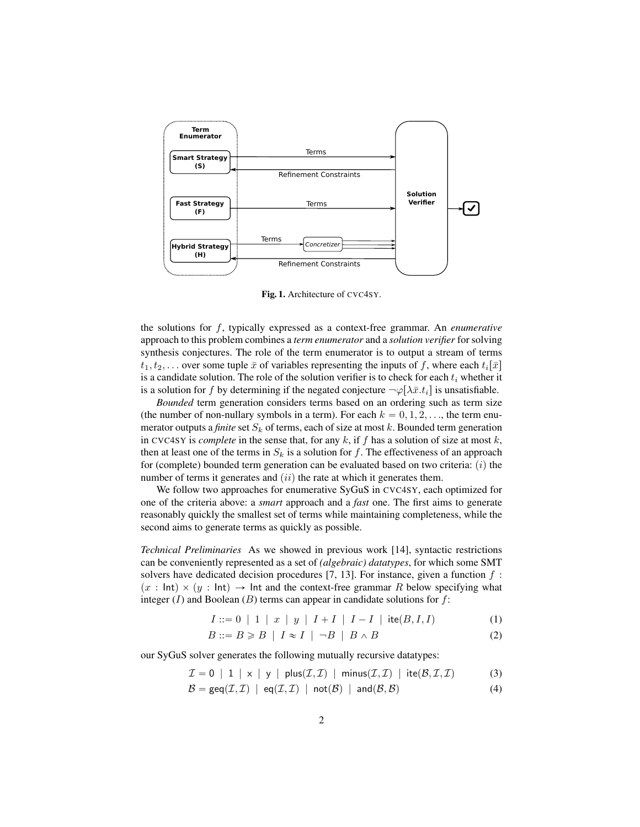

<span id="page-1-0"></span>Fig. 1. Architecture of CVC4SY.

the solutions for f, typically expressed as a context-free grammar. An *enumerative* approach to this problem combines a *term enumerator* and a *solution verifier* for solving synthesis conjectures. The role of the term enumerator is to output a stream of terms  $t_1, t_2, \ldots$  over some tuple  $\bar{x}$  of variables representing the inputs of f, where each  $t_i[\bar{x}]$ is a candidate solution. The role of the solution verifier is to check for each  $t_i$  whether it is a solution for f by determining if the negated conjecture  $\neg \varphi[\lambda \bar{x}.t_i]$  is unsatisfiable.

*Bounded* term generation considers terms based on an ordering such as term size (the number of non-nullary symbols in a term). For each  $k = 0, 1, 2, \ldots$ , the term enumerator outputs a *finite* set  $S_k$  of terms, each of size at most k. Bounded term generation in CVC4SY is *complete* in the sense that, for any  $k$ , if  $f$  has a solution of size at most  $k$ , then at least one of the terms in  $S_k$  is a solution for f. The effectiveness of an approach for (complete) bounded term generation can be evaluated based on two criteria:  $(i)$  the number of terms it generates and  $(ii)$  the rate at which it generates them.

We follow two approaches for enumerative SyGuS in CVC4SY, each optimized for one of the criteria above: a *smart* approach and a *fast* one. The first aims to generate reasonably quickly the smallest set of terms while maintaining completeness, while the second aims to generate terms as quickly as possible.

*Technical Preliminaries* As we showed in previous work [\[14\]](#page-8-4), syntactic restrictions can be conveniently represented as a set of *(algebraic) datatypes*, for which some SMT solvers have dedicated decision procedures [\[7,](#page-8-6) [13\]](#page-8-7). For instance, given a function  $f$ :  $p(x : Int) \times (y : Int) \rightarrow Int$  and the context-free grammar R below specifying what integer  $(I)$  and Boolean  $(B)$  terms can appear in candidate solutions for  $f$ :

$$
I ::= 0 \mid 1 \mid x \mid y \mid I + I \mid I - I \mid \text{ite}(B, I, I) \tag{1}
$$

$$
B ::= B \ge B \mid I \approx I \mid \neg B \mid B \land B \tag{2}
$$

our SyGuS solver generates the following mutually recursive datatypes:

<span id="page-1-1"></span>
$$
\mathcal{I} = 0 | 1 | x | y | plus(\mathcal{I}, \mathcal{I}) | minus(\mathcal{I}, \mathcal{I}) | ite(\mathcal{B}, \mathcal{I}, \mathcal{I})
$$
(3)

 $B = \text{geq}(I, \mathcal{I}) \mid \text{eq}(\mathcal{I}, \mathcal{I}) \mid \text{not}(\mathcal{B}) \mid \text{and}(\mathcal{B}, \mathcal{B})$  (4)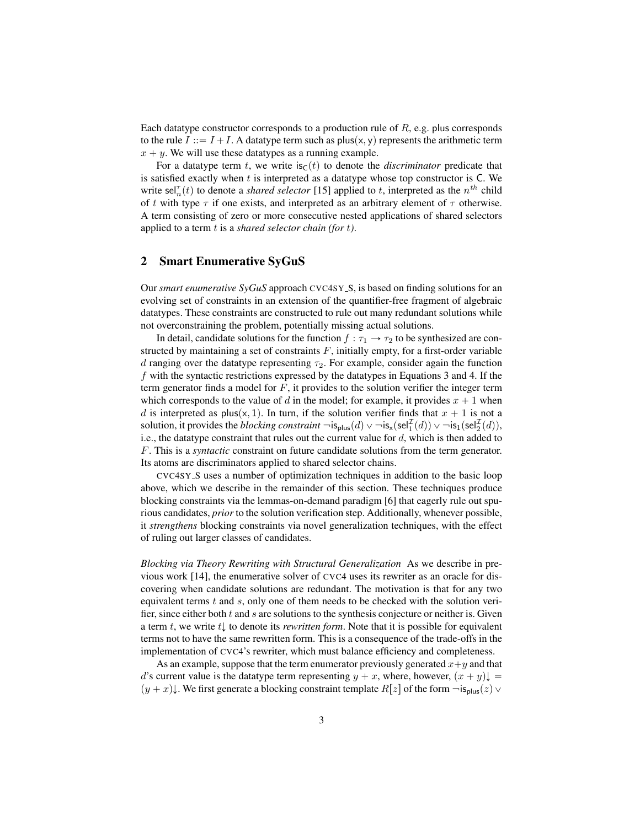Each datatype constructor corresponds to a production rule of  $R$ , e.g. plus corresponds to the rule  $I := I + I$ . A datatype term such as plus(x, y) represents the arithmetic term  $x + y$ . We will use these datatypes as a running example.

For a datatype term t, we write  $\text{is}_{\text{C}}(t)$  to denote the *discriminator* predicate that is satisfied exactly when  $t$  is interpreted as a datatype whose top constructor is  $C$ . We write sel $_n^{\tau}(t)$  to denote a *shared selector* [\[15\]](#page-9-2) applied to t, interpreted as the  $n^{th}$  child of t with type  $\tau$  if one exists, and interpreted as an arbitrary element of  $\tau$  otherwise. A term consisting of zero or more consecutive nested applications of shared selectors applied to a term t is a *shared selector chain (for* t*)*.

## <span id="page-2-0"></span>2 Smart Enumerative SyGuS

Our *smart enumerative SyGuS* approach CVC4SY\_S, is based on finding solutions for an evolving set of constraints in an extension of the quantifier-free fragment of algebraic datatypes. These constraints are constructed to rule out many redundant solutions while not overconstraining the problem, potentially missing actual solutions.

In detail, candidate solutions for the function  $f : \tau_1 \to \tau_2$  to be synthesized are constructed by maintaining a set of constraints  $F$ , initially empty, for a first-order variable d ranging over the datatype representing  $\tau_2$ . For example, consider again the function  $f$  with the syntactic restrictions expressed by the datatypes in Equations [3](#page-1-1) and [4.](#page-1-1) If the term generator finds a model for  $F$ , it provides to the solution verifier the integer term which corresponds to the value of d in the model; for example, it provides  $x + 1$  when d is interpreted as plus(x, 1). In turn, if the solution verifier finds that  $x + 1$  is not a solution, it provides the *blocking constraint*  $\neg \textsf{is}_{\textsf{plus}}(d) \vee \neg \textsf{is}_{\textsf{x}}(\textsf{sel}_1^{\mathcal{I}}(d)) \vee \neg \textsf{is}_1(\textsf{sel}_2^{\mathcal{I}}(d)),$ i.e., the datatype constraint that rules out the current value for  $d$ , which is then added to F. This is a *syntactic* constraint on future candidate solutions from the term generator. Its atoms are discriminators applied to shared selector chains.

CVC4SY S uses a number of optimization techniques in addition to the basic loop above, which we describe in the remainder of this section. These techniques produce blocking constraints via the lemmas-on-demand paradigm [\[6\]](#page-8-8) that eagerly rule out spurious candidates, *prior* to the solution verification step. Additionally, whenever possible, it *strengthens* blocking constraints via novel generalization techniques, with the effect of ruling out larger classes of candidates.

*Blocking via Theory Rewriting with Structural Generalization* As we describe in previous work [\[14\]](#page-8-4), the enumerative solver of CVC4 uses its rewriter as an oracle for discovering when candidate solutions are redundant. The motivation is that for any two equivalent terms  $t$  and  $s$ , only one of them needs to be checked with the solution verifier, since either both  $t$  and  $s$  are solutions to the synthesis conjecture or neither is. Given a term t, we write  $t\downarrow$  to denote its *rewritten form*. Note that it is possible for equivalent terms not to have the same rewritten form. This is a consequence of the trade-offs in the implementation of CVC4's rewriter, which must balance efficiency and completeness.

As an example, suppose that the term enumerator previously generated  $x+y$  and that d's current value is the datatype term representing  $y + x$ , where, however,  $(x + y)\downarrow =$  $(y + x)$ . We first generate a blocking constraint template  $R[z]$  of the form  $\neg s_{\text{plus}}(z) \vee$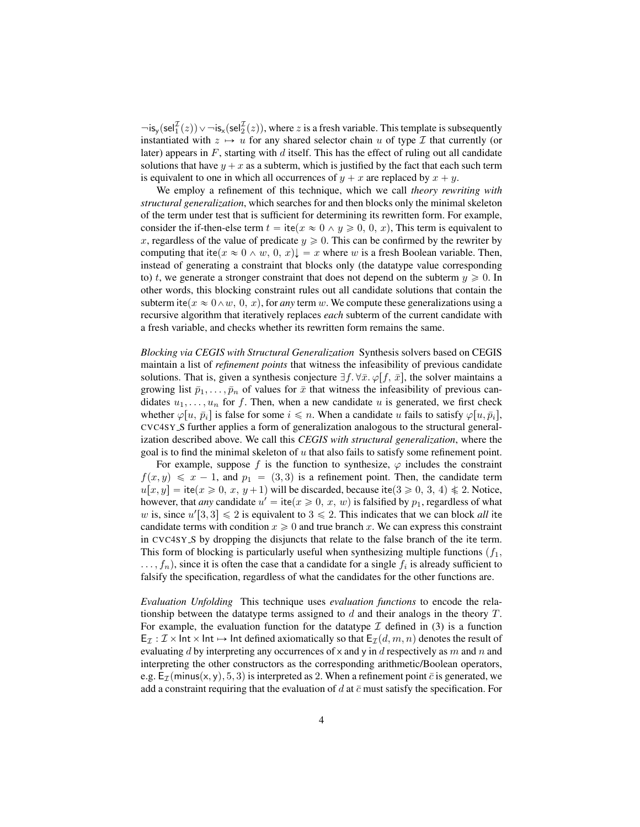$\neg$ is<sub>y</sub>(sel $_1^{\mathcal{I}}(z)$ )  $\vee$   $\neg$ is<sub>x</sub>(sel $_2^{\mathcal{I}}(z)$ ), where z is a fresh variable. This template is subsequently instantiated with  $z \mapsto u$  for any shared selector chain u of type I that currently (or later) appears in  $F$ , starting with  $d$  itself. This has the effect of ruling out all candidate solutions that have  $y + x$  as a subterm, which is justified by the fact that each such term is equivalent to one in which all occurrences of  $y + x$  are replaced by  $x + y$ .

We employ a refinement of this technique, which we call *theory rewriting with structural generalization*, which searches for and then blocks only the minimal skeleton of the term under test that is sufficient for determining its rewritten form. For example, consider the if-then-else term  $t = \text{ite}(x \approx 0 \land y \ge 0, 0, x)$ , This term is equivalent to x, regardless of the value of predicate  $y \ge 0$ . This can be confirmed by the rewriter by computing that ite $(x \approx 0 \land w, 0, x)$ ,  $(x \neq x)$  where w is a fresh Boolean variable. Then, instead of generating a constraint that blocks only (the datatype value corresponding to) t, we generate a stronger constraint that does not depend on the subterm  $y \ge 0$ . In other words, this blocking constraint rules out all candidate solutions that contain the subterm ite( $x \approx 0 \wedge w$ , 0, x), for *any* term w. We compute these generalizations using a recursive algorithm that iteratively replaces *each* subterm of the current candidate with a fresh variable, and checks whether its rewritten form remains the same.

*Blocking via CEGIS with Structural Generalization* Synthesis solvers based on CEGIS maintain a list of *refinement points* that witness the infeasibility of previous candidate solutions. That is, given a synthesis conjecture  $\exists f. \forall \bar{x}.\ \varphi[f, \bar{x}]$ , the solver maintains a growing list  $\bar{p}_1, \ldots, \bar{p}_n$  of values for  $\bar{x}$  that witness the infeasibility of previous candidates  $u_1, \ldots, u_n$  for f. Then, when a new candidate u is generated, we first check whether  $\varphi[u, \bar{p}_i]$  is false for some  $i \leq n$ . When a candidate u fails to satisfy  $\varphi[u, \bar{p}_i]$ , CVC4SY S further applies a form of generalization analogous to the structural generalization described above. We call this *CEGIS with structural generalization*, where the goal is to find the minimal skeleton of  $u$  that also fails to satisfy some refinement point.

For example, suppose f is the function to synthesize,  $\varphi$  includes the constraint  $f(x, y) \le x - 1$ , and  $p_1 = (3, 3)$  is a refinement point. Then, the candidate term  $u[x, y] =$  ite $(x \ge 0, x, y + 1)$  will be discarded, because ite $(3 \ge 0, 3, 4) \le 2$ . Notice, however, that *any* candidate  $u' = ite(x \ge 0, x, w)$  is falsified by  $p_1$ , regardless of what w is, since  $u'[3, 3] \le 2$  is equivalent to  $3 \le 2$ . This indicates that we can block *all* ite candidate terms with condition  $x \geq 0$  and true branch x. We can express this constraint in CVC4SY\_S by dropping the disjuncts that relate to the false branch of the ite term. This form of blocking is particularly useful when synthesizing multiple functions  $(f_1, f_2)$  $\dots, f_n$ ), since it is often the case that a candidate for a single  $f_i$  is already sufficient to falsify the specification, regardless of what the candidates for the other functions are.

*Evaluation Unfolding* This technique uses *evaluation functions* to encode the relationship between the datatype terms assigned to  $d$  and their analogs in the theory  $T$ . For example, the evaluation function for the datatype  $\mathcal I$  defined in [\(3\)](#page-1-1) is a function  $E_{\mathcal{I}} : \mathcal{I} \times \text{Int} \times \text{Int} \mapsto \text{Int}$  defined axiomatically so that  $E_{\mathcal{I}}(d, m, n)$  denotes the result of evaluating d by interpreting any occurrences of  $x$  and  $y$  in d respectively as m and n and interpreting the other constructors as the corresponding arithmetic/Boolean operators, e.g.  $E_{\mathcal{I}}(minus(x, y), 5, 3)$  is interpreted as 2. When a refinement point  $\bar{c}$  is generated, we add a constraint requiring that the evaluation of d at  $\bar{c}$  must satisfy the specification. For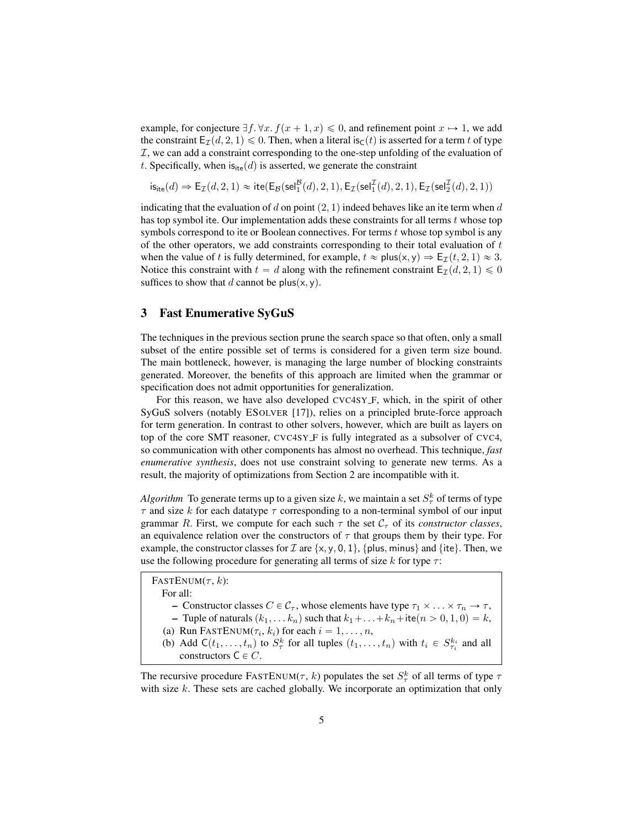example, for conjecture  $\exists f. \forall x. f(x + 1, x) \leq 0$ , and refinement point  $x \mapsto 1$ , we add the constraint  $E_{\mathcal{I}}(d, 2, 1) \leq 0$ . Then, when a literal is<sub>C</sub>(*t*) is asserted for a term t of type  $I$ , we can add a constraint corresponding to the one-step unfolding of the evaluation of t. Specifically, when  $is_{ite}(d)$  is asserted, we generate the constraint

$$
\mathsf{is}_{\mathsf{ite}}(d) \Rightarrow \mathsf{E}_{\mathcal{I}}(d,2,1) \approx \mathsf{ite}(\mathsf{E}_{\mathcal{B}}(\mathsf{sel}^{\mathcal{B}}_1(d),2,1), \mathsf{E}_{\mathcal{I}}(\mathsf{sel}^{\mathcal{I}}_1(d),2,1), \mathsf{E}_{\mathcal{I}}(\mathsf{sel}^{\mathcal{I}}_2(d),2,1))
$$

indicating that the evaluation of d on point  $(2, 1)$  indeed behaves like an ite term when d has top symbol ite. Our implementation adds these constraints for all terms t whose top symbols correspond to ite or Boolean connectives. For terms  $t$  whose top symbol is any of the other operators, we add constraints corresponding to their total evaluation of  $t$ when the value of t is fully determined, for example,  $t \approx \text{plus}(x, y) \Rightarrow E_{\mathcal{I}}(t, 2, 1) \approx 3$ . Notice this constraint with  $t = d$  along with the refinement constraint  $\mathsf{E}_{\mathcal{I}}(d, 2, 1) \leq 0$ suffices to show that d cannot be plus $(x, y)$ .

#### <span id="page-4-0"></span>3 Fast Enumerative SyGuS

The techniques in the previous section prune the search space so that often, only a small subset of the entire possible set of terms is considered for a given term size bound. The main bottleneck, however, is managing the large number of blocking constraints generated. Moreover, the benefits of this approach are limited when the grammar or specification does not admit opportunities for generalization.

For this reason, we have also developed CVC4SY F, which, in the spirit of other SyGuS solvers (notably ESOLVER [\[17\]](#page-9-1)), relies on a principled brute-force approach for term generation. In contrast to other solvers, however, which are built as layers on top of the core SMT reasoner, CVC4SY F is fully integrated as a subsolver of CVC4, so communication with other components has almost no overhead. This technique, *fast enumerative synthesis*, does not use constraint solving to generate new terms. As a result, the majority of optimizations from Section [2](#page-2-0) are incompatible with it.

*Algorithm* To generate terms up to a given size k, we maintain a set  $S^k_\tau$  of terms of type  $\tau$  and size k for each datatype  $\tau$  corresponding to a non-terminal symbol of our input grammar R. First, we compute for each such  $\tau$  the set  $C_{\tau}$  of its *constructor classes*, an equivalence relation over the constructors of  $\tau$  that groups them by their type. For example, the constructor classes for  $\mathcal I$  are  $\{x, y, 0, 1\}$ ,  $\{\text{plus}, \text{minus}\}$  and  $\{\text{ite}\}$ . Then, we use the following procedure for generating all terms of size  $k$  for type  $\tau$ :

FASTENUM $(\tau, k)$ : For all: – Constructor classes  $C \in \mathcal{C}_{\tau}$ , whose elements have type  $\tau_1 \times \ldots \times \tau_n \to \tau$ , – Tuple of naturals  $(k_1, \ldots k_n)$  such that  $k_1 + \ldots + k_n + i$ te $(n > 0, 1, 0) = k$ , (a) Run FASTENUM( $\tau_i$ ,  $k_i$ ) for each  $i = 1, \ldots, n$ , (b) Add  $C(t_1, \ldots, t_n)$  to  $S_{\tau}^k$  for all tuples  $(t_1, \ldots, t_n)$  with  $t_i \in S_{\tau_i}^{k_i}$  and all constructors  $C \in C$ .

The recursive procedure FASTENUM( $\tau$ , k) populates the set  $S^k_{\tau}$  of all terms of type  $\tau$ with size  $k$ . These sets are cached globally. We incorporate an optimization that only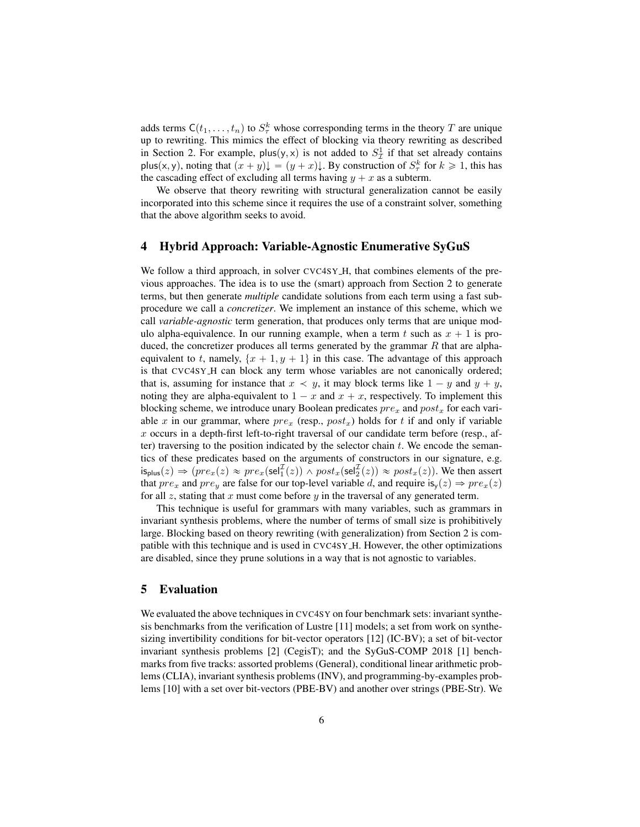adds terms  $C(t_1, \ldots, t_n)$  to  $S^k_\tau$  whose corresponding terms in the theory T are unique up to rewriting. This mimics the effect of blocking via theory rewriting as described in Section [2.](#page-2-0) For example, plus $(y, x)$  is not added to  $S_{\mathcal{I}}^1$  if that set already contains plus(x, y), noting that  $(x + y)\downarrow = (y + x)\downarrow$ . By construction of  $S^k_\tau$  for  $k \ge 1$ , this has the cascading effect of excluding all terms having  $y + x$  as a subterm.

We observe that theory rewriting with structural generalization cannot be easily incorporated into this scheme since it requires the use of a constraint solver, something that the above algorithm seeks to avoid.

#### <span id="page-5-0"></span>4 Hybrid Approach: Variable-Agnostic Enumerative SyGuS

We follow a third approach, in solver CVC4SY\_H, that combines elements of the previous approaches. The idea is to use the (smart) approach from Section [2](#page-2-0) to generate terms, but then generate *multiple* candidate solutions from each term using a fast subprocedure we call a *concretizer*. We implement an instance of this scheme, which we call *variable-agnostic* term generation, that produces only terms that are unique modulo alpha-equivalence. In our running example, when a term t such as  $x + 1$  is produced, the concretizer produces all terms generated by the grammar  $R$  that are alphaequivalent to t, namely,  $\{x + 1, y + 1\}$  in this case. The advantage of this approach is that CVC4SY H can block any term whose variables are not canonically ordered; that is, assuming for instance that  $x \prec y$ , it may block terms like  $1 - y$  and  $y + y$ , noting they are alpha-equivalent to  $1 - x$  and  $x + x$ , respectively. To implement this blocking scheme, we introduce unary Boolean predicates  $pre_x$  and  $post_x$  for each variable x in our grammar, where  $pre_x$  (resp.,  $post_x$ ) holds for t if and only if variable  $x$  occurs in a depth-first left-to-right traversal of our candidate term before (resp., after) traversing to the position indicated by the selector chain  $t$ . We encode the semantics of these predicates based on the arguments of constructors in our signature, e.g.  $\mathsf{is}_{\mathsf{plus}}(z) \Rightarrow (pre_x(z) \approx pre_x(\mathsf{sel}_1^{\mathcal{I}}(z)) \land post_x(\mathsf{sel}_2^{\mathcal{I}}(z)) \approx post_x(z)).$  We then assert that  $pre_x$  and  $pre_y$  are false for our top-level variable d, and require  $is_y(z) \Rightarrow pre_x(z)$ for all z, stating that x must come before  $y$  in the traversal of any generated term.

This technique is useful for grammars with many variables, such as grammars in invariant synthesis problems, where the number of terms of small size is prohibitively large. Blocking based on theory rewriting (with generalization) from Section [2](#page-2-0) is compatible with this technique and is used in CVC4SY H. However, the other optimizations are disabled, since they prune solutions in a way that is not agnostic to variables.

#### <span id="page-5-1"></span>5 Evaluation

We evaluated the above techniques in CVC4SY on four benchmark sets: invariant synthesis benchmarks from the verification of Lustre [\[11\]](#page-8-9) models; a set from work on synthesizing invertibility conditions for bit-vector operators [\[12\]](#page-8-10) (IC-BV); a set of bit-vector invariant synthesis problems [\[2\]](#page-8-11) (CegisT); and the SyGuS-COMP 2018 [\[1\]](#page-8-12) benchmarks from five tracks: assorted problems (General), conditional linear arithmetic problems (CLIA), invariant synthesis problems (INV), and programming-by-examples problems [\[10\]](#page-8-13) with a set over bit-vectors (PBE-BV) and another over strings (PBE-Str). We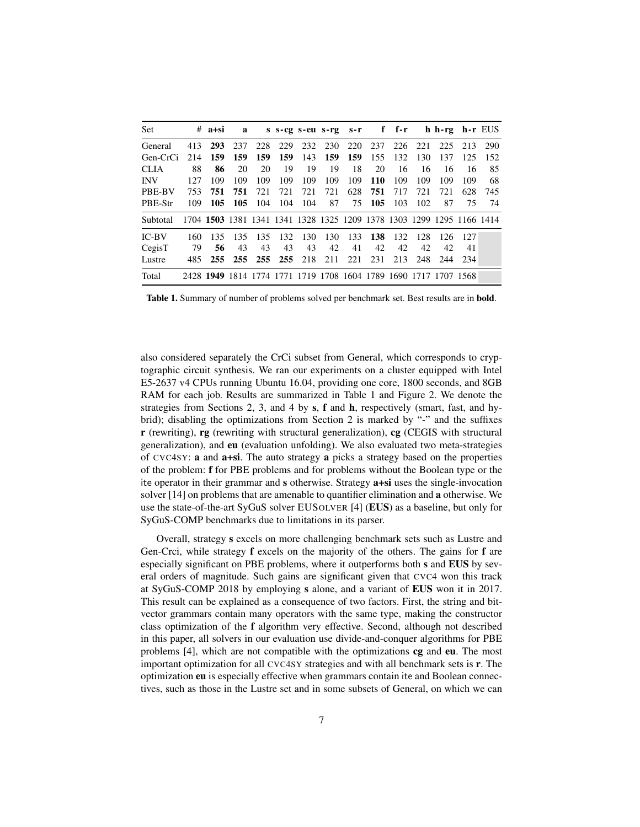| Set        |      | $# a+si$ | a    |                                                                       |     |     |     |                 |     |     |         | s s-cg s-eu s-rg s-r f f-r h h-rg h-r EUS |         |     |
|------------|------|----------|------|-----------------------------------------------------------------------|-----|-----|-----|-----------------|-----|-----|---------|-------------------------------------------|---------|-----|
| General    | 413  | 293      | 237  | 228                                                                   |     |     |     | 229 232 230 220 | 237 |     | 226 221 |                                           | 225 213 | 290 |
| Gen-CrCi   | 214  | 159      | 159  | 159                                                                   | 159 | 143 |     | 159 159         | 155 | 132 | 130     | 137                                       | 125     | 152 |
| CLIA       | 88   | 86       | 20   | 20                                                                    | 19  | 19  | 19  | 18              | 20  | 16  | 16      | 16                                        | 16      | 85  |
| <b>INV</b> | 127  | 109      | 109  | 109                                                                   | 109 | 109 | 109 | 109             | 110 | 109 | 109     | 109                                       | 109     | 68  |
| PBE-BV     | 753  | 751      | 751. | 721                                                                   | 721 | 721 | 721 | 628             | 751 | 717 | 721     | 721                                       | 628     | 745 |
| PBE-Str    | 109  | 105      | -105 | 104                                                                   | 104 | 104 | 87  | 75              | 105 | 103 | 102     | 87                                        | 75      | 74  |
| Subtotal   |      |          |      | 1704 1503 1381 1341 1341 1328 1325 1209 1378 1303 1299 1295 1166 1414 |     |     |     |                 |     |     |         |                                           |         |     |
| $IC-BV$    | 160  | 135      | 135  | 135                                                                   | 132 | 130 | 130 | 133             | 138 | 132 | 128     | 126                                       | -127    |     |
| CegisT     | 79   | 56       | 43   | 43                                                                    | 43  | 43  | 42  | 41              | 42  | 42  | 42      | 42                                        | 41      |     |
| Lustre     | 485. | 255      |      | 255 255 255 218                                                       |     |     | 211 | 221             | 231 | 213 | 248     | 244                                       | -234    |     |
| Total      |      |          |      | 2428 1949 1814 1774 1771 1719 1708 1604 1789 1690 1717 1707 1568      |     |     |     |                 |     |     |         |                                           |         |     |

<span id="page-6-0"></span>Table 1. Summary of number of problems solved per benchmark set. Best results are in bold.

also considered separately the CrCi subset from General, which corresponds to cryptographic circuit synthesis. We ran our experiments on a cluster equipped with Intel E5-2637 v4 CPUs running Ubuntu 16.04, providing one core, 1800 seconds, and 8GB RAM for each job. Results are summarized in Table [1](#page-6-0) and Figure [2.](#page-7-0) We denote the strategies from Sections [2,](#page-2-0) [3,](#page-4-0) and [4](#page-5-0) by s, f and h, respectively (smart, fast, and hybrid); disabling the optimizations from Section [2](#page-2-0) is marked by "-" and the suffixes r (rewriting), rg (rewriting with structural generalization), cg (CEGIS with structural generalization), and eu (evaluation unfolding). We also evaluated two meta-strategies of CVC4SY: a and a+si. The auto strategy a picks a strategy based on the properties of the problem: f for PBE problems and for problems without the Boolean type or the ite operator in their grammar and s otherwise. Strategy a+si uses the single-invocation solver [\[14\]](#page-8-4) on problems that are amenable to quantifier elimination and a otherwise. We use the state-of-the-art SyGuS solver EUSOLVER [\[4\]](#page-8-3) (EUS) as a baseline, but only for SyGuS-COMP benchmarks due to limitations in its parser.

Overall, strategy s excels on more challenging benchmark sets such as Lustre and Gen-Crci, while strategy f excels on the majority of the others. The gains for f are especially significant on PBE problems, where it outperforms both s and EUS by several orders of magnitude. Such gains are significant given that CVC4 won this track at SyGuS-COMP 2018 by employing s alone, and a variant of EUS won it in 2017. This result can be explained as a consequence of two factors. First, the string and bitvector grammars contain many operators with the same type, making the constructor class optimization of the f algorithm very effective. Second, although not described in this paper, all solvers in our evaluation use divide-and-conquer algorithms for PBE problems [\[4\]](#page-8-3), which are not compatible with the optimizations cg and eu. The most important optimization for all CVC4SY strategies and with all benchmark sets is r. The optimization eu is especially effective when grammars contain ite and Boolean connectives, such as those in the Lustre set and in some subsets of General, on which we can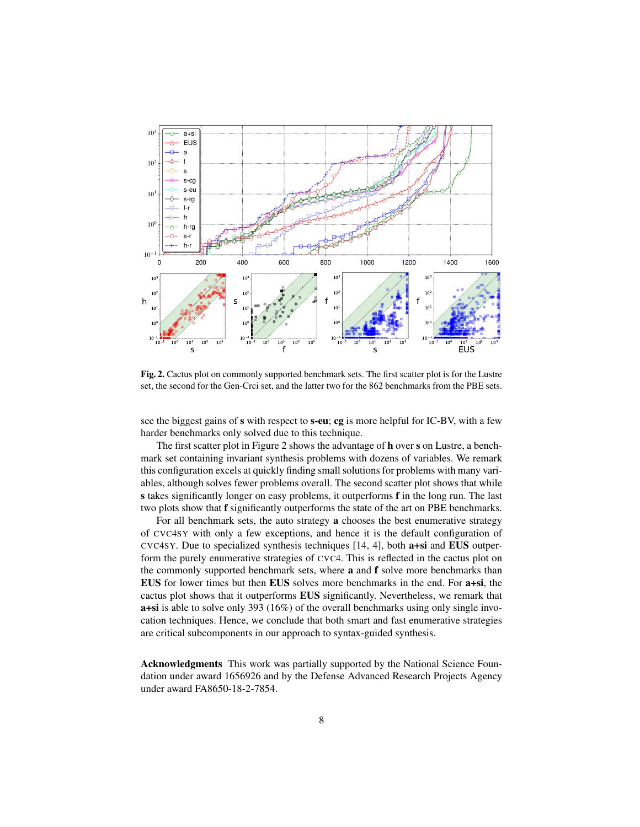

<span id="page-7-0"></span>Fig. 2. Cactus plot on commonly supported benchmark sets. The first scatter plot is for the Lustre set, the second for the Gen-Crci set, and the latter two for the 862 benchmarks from the PBE sets.

see the biggest gains of s with respect to s-eu; cg is more helpful for IC-BV, with a few harder benchmarks only solved due to this technique.

The first scatter plot in Figure [2](#page-7-0) shows the advantage of h over s on Lustre, a benchmark set containing invariant synthesis problems with dozens of variables. We remark this configuration excels at quickly finding small solutions for problems with many variables, although solves fewer problems overall. The second scatter plot shows that while s takes significantly longer on easy problems, it outperforms f in the long run. The last two plots show that f significantly outperforms the state of the art on PBE benchmarks.

For all benchmark sets, the auto strategy a chooses the best enumerative strategy of CVC4SY with only a few exceptions, and hence it is the default configuration of CVC4SY. Due to specialized synthesis techniques [\[14,](#page-8-4) [4\]](#page-8-3), both a+si and EUS outperform the purely enumerative strategies of CVC4. This is reflected in the cactus plot on the commonly supported benchmark sets, where a and f solve more benchmarks than EUS for lower times but then EUS solves more benchmarks in the end. For a+si, the cactus plot shows that it outperforms EUS significantly. Nevertheless, we remark that a+si is able to solve only 393 (16%) of the overall benchmarks using only single invocation techniques. Hence, we conclude that both smart and fast enumerative strategies are critical subcomponents in our approach to syntax-guided synthesis.

Acknowledgments This work was partially supported by the National Science Foundation under award 1656926 and by the Defense Advanced Research Projects Agency under award FA8650-18-2-7854.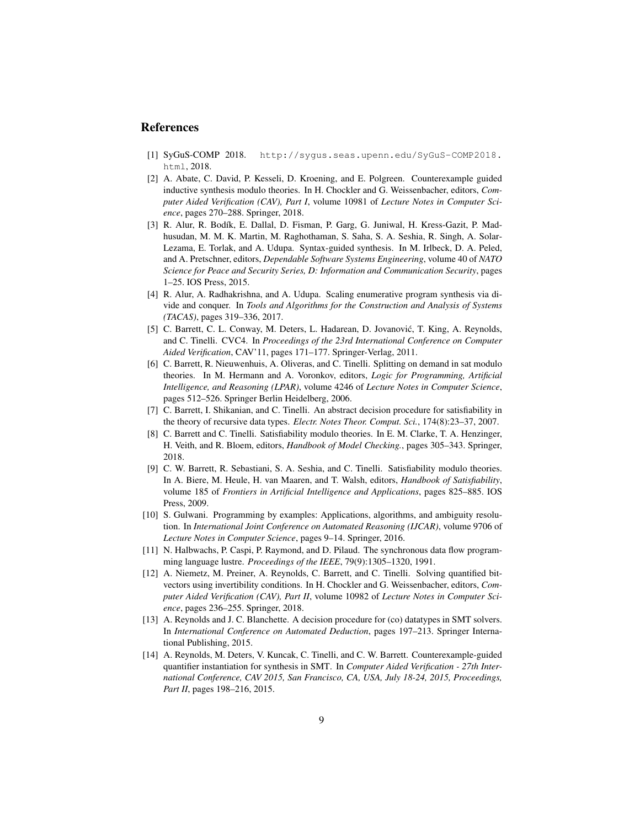## References

- <span id="page-8-12"></span>[1] SyGuS-COMP 2018. [http://sygus.seas.upenn.edu/SyGuS-COMP2018.](http://sygus.seas.upenn.edu/SyGuS-COMP2018.html) [html](http://sygus.seas.upenn.edu/SyGuS-COMP2018.html), 2018.
- <span id="page-8-11"></span>[2] A. Abate, C. David, P. Kesseli, D. Kroening, and E. Polgreen. Counterexample guided inductive synthesis modulo theories. In H. Chockler and G. Weissenbacher, editors, *Computer Aided Verification (CAV), Part I*, volume 10981 of *Lecture Notes in Computer Science*, pages 270–288. Springer, 2018.
- <span id="page-8-0"></span>[3] R. Alur, R. Bodík, E. Dallal, D. Fisman, P. Garg, G. Juniwal, H. Kress-Gazit, P. Madhusudan, M. M. K. Martin, M. Raghothaman, S. Saha, S. A. Seshia, R. Singh, A. Solar-Lezama, E. Torlak, and A. Udupa. Syntax-guided synthesis. In M. Irlbeck, D. A. Peled, and A. Pretschner, editors, *Dependable Software Systems Engineering*, volume 40 of *NATO Science for Peace and Security Series, D: Information and Communication Security*, pages 1–25. IOS Press, 2015.
- <span id="page-8-3"></span>[4] R. Alur, A. Radhakrishna, and A. Udupa. Scaling enumerative program synthesis via divide and conquer. In *Tools and Algorithms for the Construction and Analysis of Systems (TACAS)*, pages 319–336, 2017.
- <span id="page-8-5"></span>[5] C. Barrett, C. L. Conway, M. Deters, L. Hadarean, D. Jovanović, T. King, A. Reynolds, and C. Tinelli. CVC4. In *Proceedings of the 23rd International Conference on Computer Aided Verification*, CAV'11, pages 171–177. Springer-Verlag, 2011.
- <span id="page-8-8"></span>[6] C. Barrett, R. Nieuwenhuis, A. Oliveras, and C. Tinelli. Splitting on demand in sat modulo theories. In M. Hermann and A. Voronkov, editors, *Logic for Programming, Artificial Intelligence, and Reasoning (LPAR)*, volume 4246 of *Lecture Notes in Computer Science*, pages 512–526. Springer Berlin Heidelberg, 2006.
- <span id="page-8-6"></span>[7] C. Barrett, I. Shikanian, and C. Tinelli. An abstract decision procedure for satisfiability in the theory of recursive data types. *Electr. Notes Theor. Comput. Sci.*, 174(8):23–37, 2007.
- <span id="page-8-1"></span>[8] C. Barrett and C. Tinelli. Satisfiability modulo theories. In E. M. Clarke, T. A. Henzinger, H. Veith, and R. Bloem, editors, *Handbook of Model Checking.*, pages 305–343. Springer, 2018.
- <span id="page-8-2"></span>[9] C. W. Barrett, R. Sebastiani, S. A. Seshia, and C. Tinelli. Satisfiability modulo theories. In A. Biere, M. Heule, H. van Maaren, and T. Walsh, editors, *Handbook of Satisfiability*, volume 185 of *Frontiers in Artificial Intelligence and Applications*, pages 825–885. IOS Press, 2009.
- <span id="page-8-13"></span>[10] S. Gulwani. Programming by examples: Applications, algorithms, and ambiguity resolution. In *International Joint Conference on Automated Reasoning (IJCAR)*, volume 9706 of *Lecture Notes in Computer Science*, pages 9–14. Springer, 2016.
- <span id="page-8-9"></span>[11] N. Halbwachs, P. Caspi, P. Raymond, and D. Pilaud. The synchronous data flow programming language lustre. *Proceedings of the IEEE*, 79(9):1305–1320, 1991.
- <span id="page-8-10"></span>[12] A. Niemetz, M. Preiner, A. Reynolds, C. Barrett, and C. Tinelli. Solving quantified bitvectors using invertibility conditions. In H. Chockler and G. Weissenbacher, editors, *Computer Aided Verification (CAV), Part II*, volume 10982 of *Lecture Notes in Computer Science*, pages 236–255. Springer, 2018.
- <span id="page-8-7"></span>[13] A. Reynolds and J. C. Blanchette. A decision procedure for (co) datatypes in SMT solvers. In *International Conference on Automated Deduction*, pages 197–213. Springer International Publishing, 2015.
- <span id="page-8-4"></span>[14] A. Reynolds, M. Deters, V. Kuncak, C. Tinelli, and C. W. Barrett. Counterexample-guided quantifier instantiation for synthesis in SMT. In *Computer Aided Verification - 27th International Conference, CAV 2015, San Francisco, CA, USA, July 18-24, 2015, Proceedings, Part II*, pages 198–216, 2015.